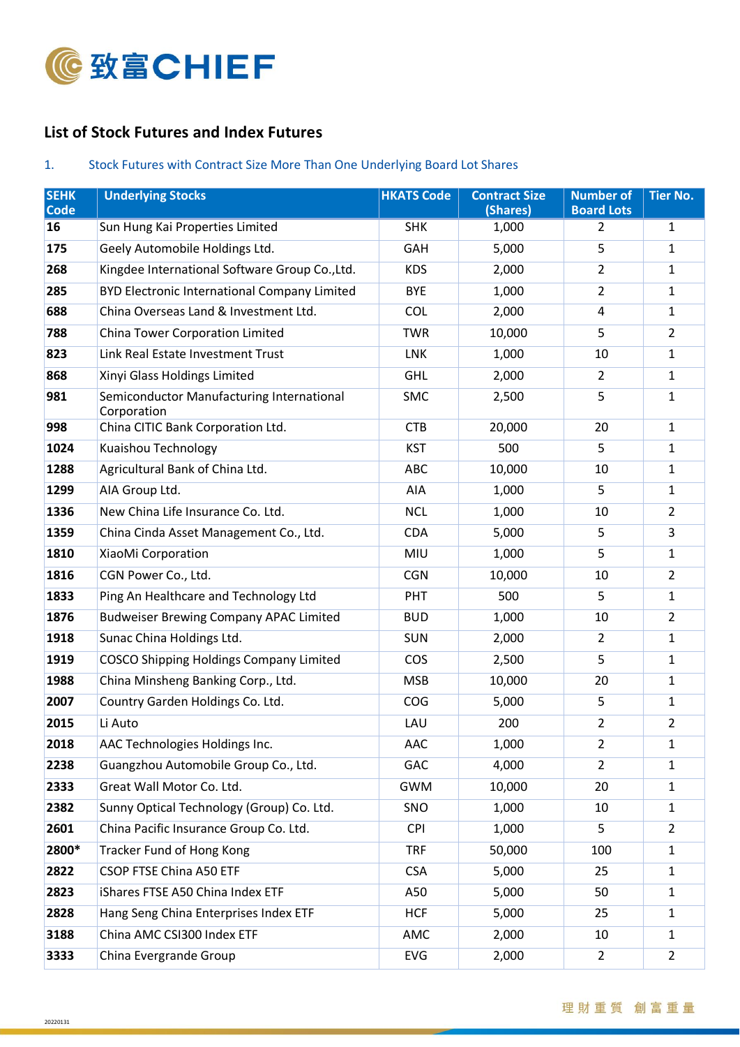

## **List of Stock Futures and Index Futures**

## 1. Stock Futures with Contract Size More Than One Underlying Board Lot Shares

| <b>SEHK</b><br><b>Code</b> | <b>Underlying Stocks</b>                                 | <b>HKATS Code</b> | <b>Contract Size</b><br>(Shares) | <b>Number of</b><br><b>Board Lots</b> | <b>Tier No.</b> |
|----------------------------|----------------------------------------------------------|-------------------|----------------------------------|---------------------------------------|-----------------|
| 16                         | Sun Hung Kai Properties Limited                          | <b>SHK</b>        | 1,000                            | 2                                     | 1               |
| 175                        | Geely Automobile Holdings Ltd.                           | <b>GAH</b>        | 5,000                            | 5                                     | $\mathbf{1}$    |
| 268                        | Kingdee International Software Group Co., Ltd.           | <b>KDS</b>        | 2,000                            | $\overline{2}$                        | 1               |
| 285                        | <b>BYD Electronic International Company Limited</b>      | <b>BYE</b>        | 1,000                            | $\overline{2}$                        | $\mathbf{1}$    |
| 688                        | China Overseas Land & Investment Ltd.                    | <b>COL</b>        | 2,000                            | 4                                     | 1               |
| 788                        | China Tower Corporation Limited                          | <b>TWR</b>        | 10,000                           | 5                                     | $\overline{2}$  |
| 823                        | Link Real Estate Investment Trust                        | LNK               | 1,000                            | 10                                    | $\mathbf{1}$    |
| 868                        | Xinyi Glass Holdings Limited                             | <b>GHL</b>        | 2,000                            | $\overline{2}$                        | $\mathbf{1}$    |
| 981                        | Semiconductor Manufacturing International<br>Corporation | <b>SMC</b>        | 2,500                            | 5                                     | 1               |
| 998                        | China CITIC Bank Corporation Ltd.                        | <b>CTB</b>        | 20,000                           | 20                                    | $\mathbf{1}$    |
| 1024                       | Kuaishou Technology                                      | <b>KST</b>        | 500<br>5                         |                                       | 1               |
| 1288                       | Agricultural Bank of China Ltd.                          | ABC               | 10,000                           | 10                                    | $\mathbf{1}$    |
| 1299                       | AIA Group Ltd.                                           | AIA               | 1,000                            | 5                                     | 1               |
| 1336                       | New China Life Insurance Co. Ltd.                        | <b>NCL</b>        | 1,000                            | 10                                    | $\overline{2}$  |
| 1359                       | China Cinda Asset Management Co., Ltd.                   | <b>CDA</b>        | 5,000                            | 5                                     | 3               |
| 1810                       | XiaoMi Corporation                                       | MIU               | 1,000                            | 5                                     | $\mathbf{1}$    |
| 1816                       | CGN Power Co., Ltd.                                      | <b>CGN</b>        | 10,000                           | 10                                    | $\overline{2}$  |
| 1833                       | Ping An Healthcare and Technology Ltd                    | PHT               | 500                              | 5                                     | $\mathbf{1}$    |
| 1876                       | <b>Budweiser Brewing Company APAC Limited</b>            | <b>BUD</b>        | 1,000                            | 10                                    | $\overline{2}$  |
| 1918                       | Sunac China Holdings Ltd.                                | <b>SUN</b>        | 2,000                            | $\overline{2}$                        | $\mathbf{1}$    |
| 1919                       | <b>COSCO Shipping Holdings Company Limited</b>           | COS               | 2,500                            | 5                                     | $\mathbf{1}$    |
| 1988                       | China Minsheng Banking Corp., Ltd.                       | <b>MSB</b>        | 10,000                           | 20                                    | 1               |
| 2007                       | Country Garden Holdings Co. Ltd.                         | COG               | 5,000                            | 5                                     | $\mathbf{1}$    |
| 2015                       | Li Auto                                                  | LAU               | 200                              | $\overline{2}$                        | $\overline{2}$  |
| 2018                       | AAC Technologies Holdings Inc.                           | AAC               | 1,000                            | 2                                     | 1               |
| 2238                       | Guangzhou Automobile Group Co., Ltd.                     | <b>GAC</b>        | 4,000                            | $\overline{2}$                        | $\mathbf{1}$    |
| 2333                       | Great Wall Motor Co. Ltd.                                | <b>GWM</b>        | 10,000                           | 20                                    | $\mathbf{1}$    |
| 2382                       | Sunny Optical Technology (Group) Co. Ltd.                | SNO               | 1,000                            | 10                                    | $\mathbf{1}$    |
| 2601                       | China Pacific Insurance Group Co. Ltd.                   | <b>CPI</b>        | 1,000                            | 5                                     | $\overline{2}$  |
| 2800*                      | <b>Tracker Fund of Hong Kong</b>                         | <b>TRF</b>        | 50,000                           | 100                                   | $\mathbf{1}$    |
| 2822                       | CSOP FTSE China A50 ETF                                  | <b>CSA</b>        | 5,000                            | 25                                    | $\mathbf{1}$    |
| 2823                       | iShares FTSE A50 China Index ETF                         | A50               | 5,000                            | 50                                    | $\mathbf{1}$    |
| 2828                       | Hang Seng China Enterprises Index ETF                    | <b>HCF</b>        | 5,000                            | 25                                    | $\mathbf{1}$    |
| 3188                       | China AMC CSI300 Index ETF                               | AMC               | 2,000                            | 10                                    | $\mathbf{1}$    |
| 3333                       | China Evergrande Group                                   | EVG               | 2,000                            | $\overline{2}$                        | $\overline{2}$  |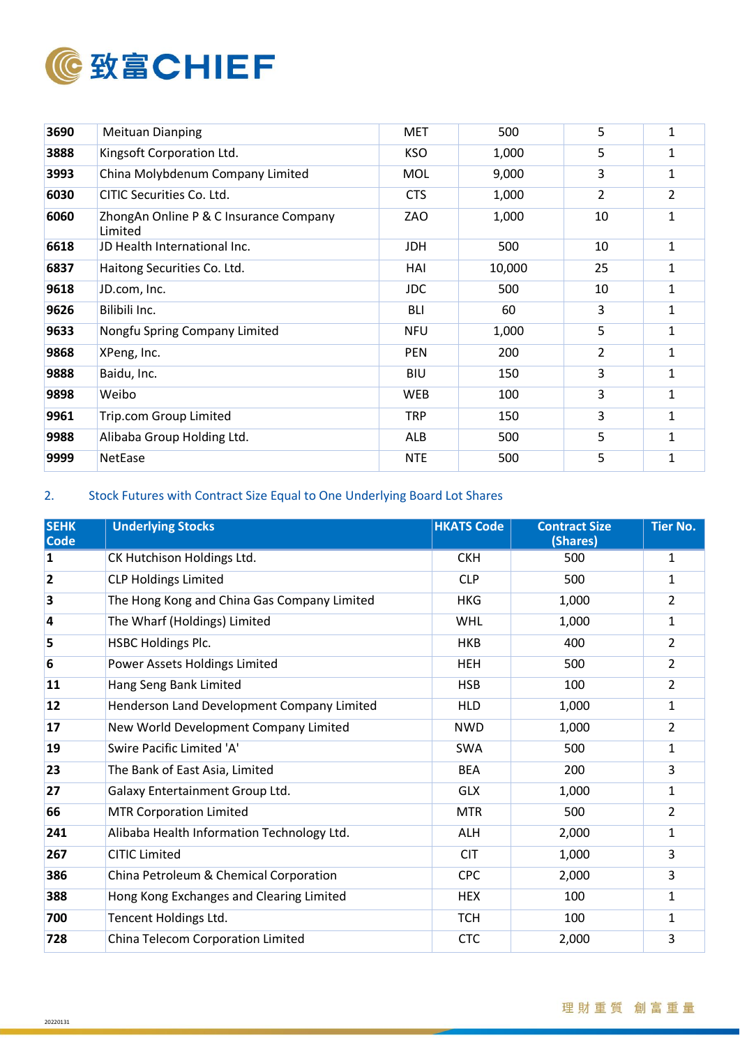

| 3690 | <b>Meituan Dianping</b>                           | <b>MET</b> | 500    | 5  | $\mathbf{1}$   |
|------|---------------------------------------------------|------------|--------|----|----------------|
| 3888 | Kingsoft Corporation Ltd.                         | <b>KSO</b> | 1,000  | 5  | 1              |
| 3993 | China Molybdenum Company Limited                  | <b>MOL</b> | 9,000  | 3  | 1              |
| 6030 | CITIC Securities Co. Ltd.                         | <b>CTS</b> | 1,000  | 2  | $\overline{2}$ |
| 6060 | ZhongAn Online P & C Insurance Company<br>Limited | ZAO        | 1,000  | 10 | 1              |
| 6618 | JD Health International Inc.                      | <b>JDH</b> | 500    | 10 | $\mathbf{1}$   |
| 6837 | Haitong Securities Co. Ltd.                       | HAI        | 10,000 | 25 | 1              |
| 9618 | JD.com, Inc.                                      | <b>JDC</b> | 500    | 10 | $\mathbf{1}$   |
| 9626 | Bilibili Inc.                                     | <b>BLI</b> | 60     | 3  | 1              |
| 9633 | Nongfu Spring Company Limited                     | <b>NFU</b> | 1,000  | 5  | $\mathbf{1}$   |
| 9868 | XPeng, Inc.                                       | <b>PEN</b> | 200    | 2  | 1              |
| 9888 | Baidu, Inc.                                       | <b>BIU</b> | 150    | 3  | 1              |
| 9898 | Weibo                                             | <b>WEB</b> | 100    | 3  | 1              |
| 9961 | Trip.com Group Limited                            | <b>TRP</b> | 150    | 3  | $\mathbf{1}$   |
| 9988 | Alibaba Group Holding Ltd.                        | <b>ALB</b> | 500    | 5  | 1              |
| 9999 | NetEase                                           | <b>NTE</b> | 500    | 5  | $\mathbf{1}$   |

## 2. Stock Futures with Contract Size Equal to One Underlying Board Lot Shares

| <b>SEHK</b><br><b>Code</b> | <b>Underlying Stocks</b>                    | <b>HKATS Code</b> | <b>Contract Size</b><br>(Shares) | <b>Tier No.</b> |
|----------------------------|---------------------------------------------|-------------------|----------------------------------|-----------------|
| 1                          | CK Hutchison Holdings Ltd.                  | <b>CKH</b>        | 500                              | 1               |
| $\overline{2}$             | <b>CLP Holdings Limited</b>                 | <b>CLP</b>        | 500                              | 1               |
| 3                          | The Hong Kong and China Gas Company Limited | <b>HKG</b>        | 1,000                            | 2               |
| 4                          | The Wharf (Holdings) Limited                | <b>WHL</b>        | 1,000                            | 1               |
| 5                          | <b>HSBC Holdings Plc.</b>                   | <b>HKB</b>        | 400                              | 2               |
| 6                          | Power Assets Holdings Limited               | <b>HEH</b>        | 500                              | $\overline{2}$  |
| 11                         | Hang Seng Bank Limited                      | <b>HSB</b>        | 100                              | 2               |
| 12                         | Henderson Land Development Company Limited  | <b>HLD</b>        | 1,000                            | 1               |
| 17                         | New World Development Company Limited       | <b>NWD</b>        | 1,000                            | $\overline{2}$  |
| 19                         | Swire Pacific Limited 'A'                   | <b>SWA</b>        | 500                              | 1               |
| 23                         | The Bank of East Asia, Limited              | <b>BEA</b>        | 200                              | 3               |
| 27                         | Galaxy Entertainment Group Ltd.             | <b>GLX</b>        | 1,000                            | 1               |
| 66                         | <b>MTR Corporation Limited</b>              | <b>MTR</b>        | 500                              | 2               |
| 241                        | Alibaba Health Information Technology Ltd.  | <b>ALH</b>        | 2,000                            | 1               |
| 267                        | <b>CITIC Limited</b>                        | <b>CIT</b>        | 1,000                            | 3               |
| 386                        | China Petroleum & Chemical Corporation      | <b>CPC</b>        | 2,000                            | 3               |
| 388                        | Hong Kong Exchanges and Clearing Limited    | <b>HEX</b>        | 100                              | 1               |
| 700                        | Tencent Holdings Ltd.                       | <b>TCH</b>        | 100                              | 1               |
| 728                        | China Telecom Corporation Limited           | <b>CTC</b>        | 2,000                            | 3               |